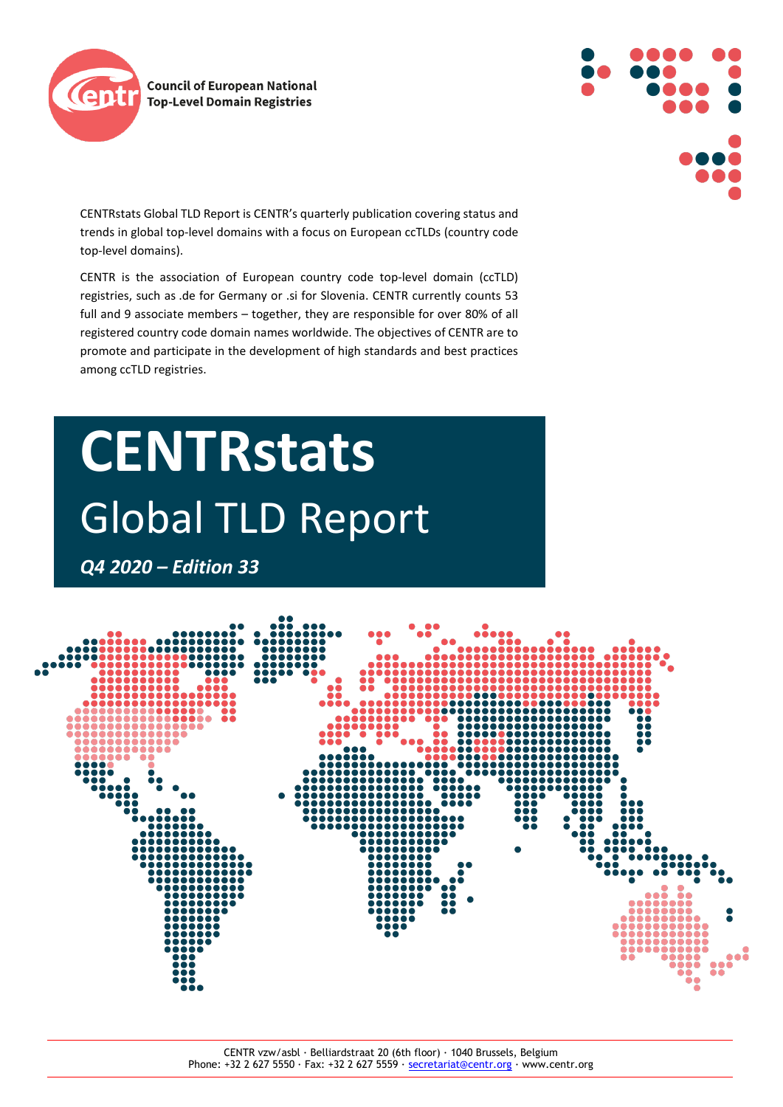



CENTRstats Global TLD Report is CENTR's quarterly publication covering status and trends in global top-level domains with a focus on European ccTLDs (country code top-level domains).

CENTR is the association of European country code top-level domain (ccTLD) registries, such as .de for Germany or .si for Slovenia. CENTR currently counts 53 full and 9 associate members – together, they are responsible for over 80% of all registered country code domain names worldwide. The objectives of CENTR are to promote and participate in the development of high standards and best practices among ccTLD registries.

# **CENTRstats**  Global TLD Report

*Q4 2020 – Edition 33*

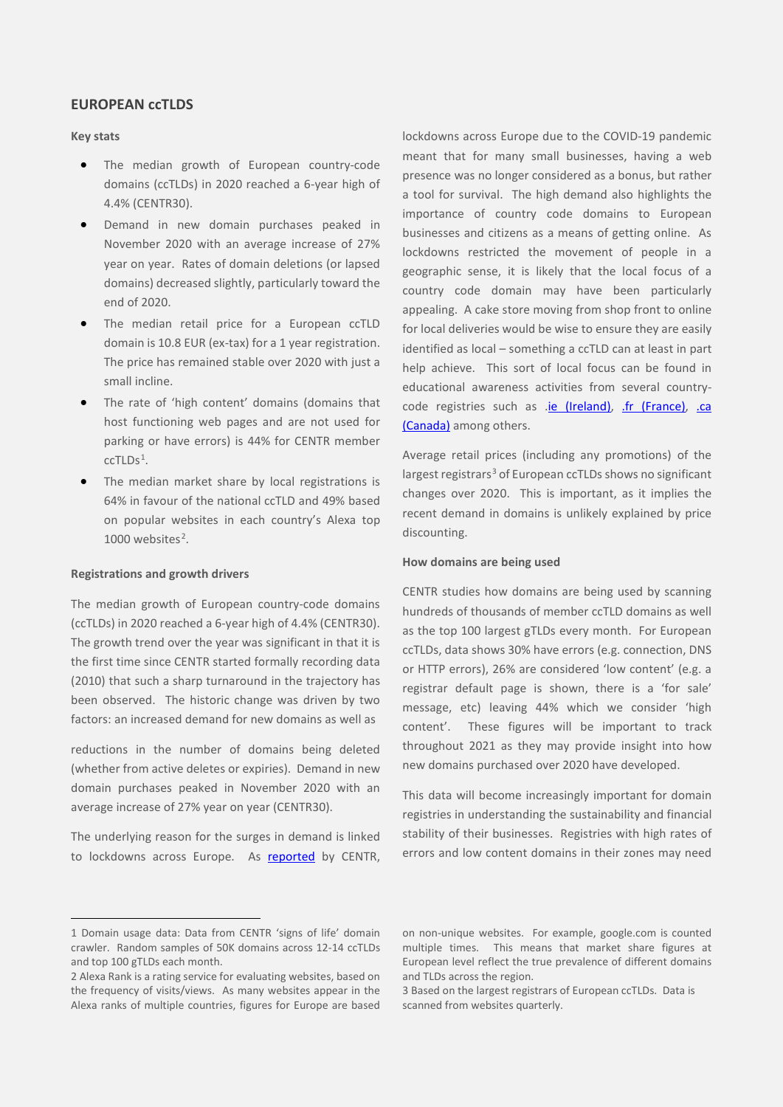# **EUROPEAN ccTLDS**

# **Key stats**

- The median growth of European country-code domains (ccTLDs) in 2020 reached a 6-year high of 4.4% (CENTR30).
- Demand in new domain purchases peaked in November 2020 with an average increase of 27% year on year. Rates of domain deletions (or lapsed domains) decreased slightly, particularly toward the end of 2020.
- The median retail price for a European ccTLD domain is 10.8 EUR (ex-tax) for a 1 year registration. The price has remained stable over 2020 with just a small incline.
- The rate of 'high content' domains (domains that host functioning web pages and are not used for parking or have errors) is 44% for CENTR member  $ccTLDs<sup>1</sup>$  $ccTLDs<sup>1</sup>$  $ccTLDs<sup>1</sup>$ .
- The median market share by local registrations is 64% in favour of the national ccTLD and 49% based on popular websites in each country's Alexa top 1000 websites $2$ .

## **Registrations and growth drivers**

The median growth of European country-code domains (ccTLDs) in 2020 reached a 6-year high of 4.4% (CENTR30). The growth trend over the year was significant in that it is the first time since CENTR started formally recording data (2010) that such a sharp turnaround in the trajectory has been observed. The historic change was driven by two factors: an increased demand for new domains as well as

reductions in the number of domains being deleted (whether from active deletes or expiries). Demand in new domain purchases peaked in November 2020 with an average increase of 27% year on year (CENTR30).

The underlying reason for the surges in demand is linked to lockdowns across Europe. As [reported](https://www.centr.org/news/blog/is-the-lockdown-driving-domain-registrations.html) by CENTR, lockdowns across Europe due to the COVID-19 pandemic meant that for many small businesses, having a web presence was no longer considered as a bonus, but rather a tool for survival. The high demand also highlights the importance of country code domains to European businesses and citizens as a means of getting online. As lockdowns restricted the movement of people in a geographic sense, it is likely that the local focus of a country code domain may have been particularly appealing. A cake store moving from shop front to online for local deliveries would be wise to ensure they are easily identified as local – something a ccTLD can at least in part help achieve. This sort of local focus can be found in educational awareness activities from several country-code registries such as .je (Ireland), [.fr \(France\),](https://www.afnic.fr/en/about-afnic/news/general-news/12522/show/afnic-sponsors-the-tv-program-connecte-ta-boite.html) .ca [\(Canada\)](https://www.cira.ca/newsroom/ca-domains/cira-joins-digital-main-streets-shophere-powered-google-provide-ca-domains) among others.

Average retail prices (including any promotions) of the largest registrars<sup>[3](#page-1-2)</sup> of European ccTLDs shows no significant changes over 2020. This is important, as it implies the recent demand in domains is unlikely explained by price discounting.

### **How domains are being used**

CENTR studies how domains are being used by scanning hundreds of thousands of member ccTLD domains as well as the top 100 largest gTLDs every month. For European ccTLDs, data shows 30% have errors (e.g. connection, DNS or HTTP errors), 26% are considered 'low content' (e.g. a registrar default page is shown, there is a 'for sale' message, etc) leaving 44% which we consider 'high content'. These figures will be important to track throughout 2021 as they may provide insight into how new domains purchased over 2020 have developed.

This data will become increasingly important for domain registries in understanding the sustainability and financial stability of their businesses. Registries with high rates of errors and low content domains in their zones may need

<span id="page-1-0"></span><sup>1</sup> Domain usage data: Data from CENTR 'signs of life' domain crawler. Random samples of 50K domains across 12-14 ccTLDs and top 100 gTLDs each month.

<span id="page-1-2"></span><span id="page-1-1"></span><sup>2</sup> Alexa Rank is a rating service for evaluating websites, based on the frequency of visits/views. As many websites appear in the Alexa ranks of multiple countries, figures for Europe are based

on non-unique websites. For example, google.com is counted multiple times. This means that market share figures at European level reflect the true prevalence of different domains and TLDs across the region.

<sup>3</sup> Based on the largest registrars of European ccTLDs. Data is scanned from websites quarterly.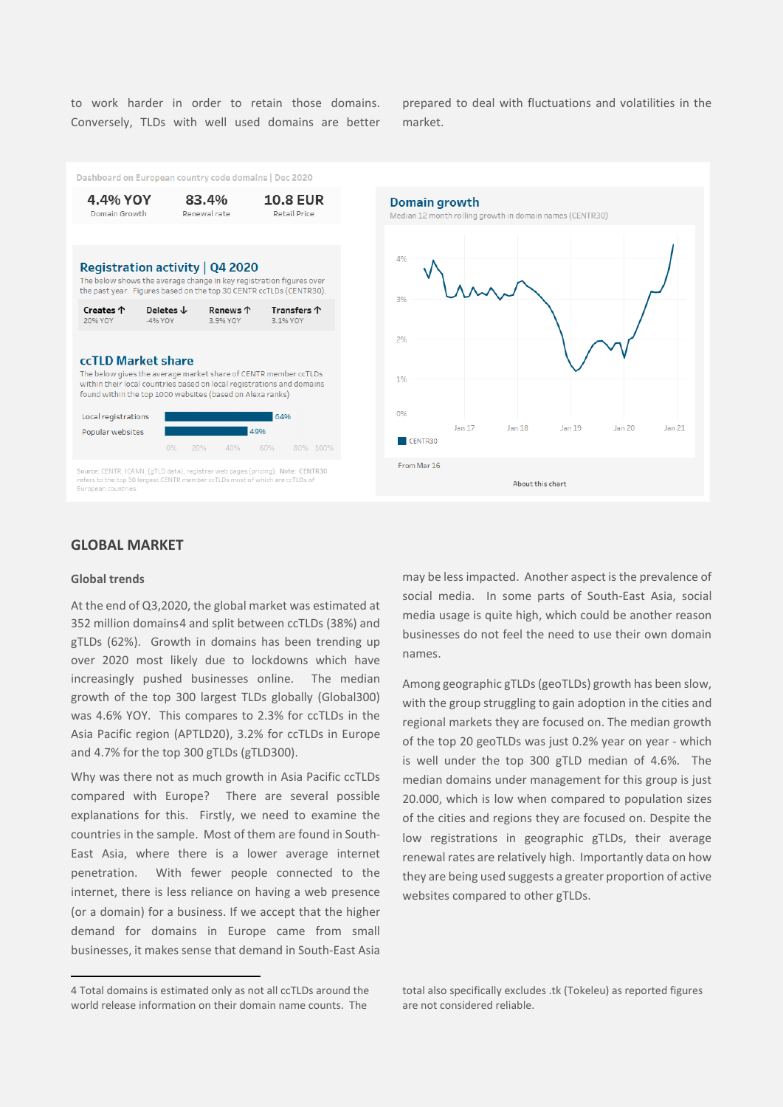to work harder in order to retain those domains. Conversely, TLDs with well used domains are better prepared to deal with fluctuations and volatilities in the market.



# **GLOBAL MARKET**

## **Global trends**

At the end of Q3,2020, the global market was estimated at 352 million domains[4](#page-2-0) and split between ccTLDs (38%) and gTLDs (62%). Growth in domains has been trending up over 2020 most likely due to lockdowns which have increasingly pushed businesses online. The median growth of the top 300 largest TLDs globally (Global300) was 4.6% YOY. This compares to 2.3% for ccTLDs in the Asia Pacific region (APTLD20), 3.2% for ccTLDs in Europe and 4.7% for the top 300 gTLDs (gTLD300).

Why was there not as much growth in Asia Pacific ccTLDs compared with Europe? There are several possible explanations for this. Firstly, we need to examine the countries in the sample. Most of them are found in South-East Asia, where there is a lower average internet penetration. With fewer people connected to the internet, there is less reliance on having a web presence (or a domain) for a business. If we accept that the higher demand for domains in Europe came from small businesses, it makes sense that demand in South-East Asia

may be less impacted. Another aspect is the prevalence of social media. In some parts of South-East Asia, social media usage is quite high, which could be another reason businesses do not feel the need to use their own domain names.

Among geographic gTLDs (geoTLDs) growth has been slow, with the group struggling to gain adoption in the cities and regional markets they are focused on. The median growth of the top 20 geoTLDs was just 0.2% year on year - which is well under the top 300 gTLD median of 4.6%. The median domains under management for this group is just 20.000, which is low when compared to population sizes of the cities and regions they are focused on. Despite the low registrations in geographic gTLDs, their average renewal rates are relatively high. Importantly data on how they are being used suggests a greater proportion of active websites compared to other gTLDs.

<span id="page-2-0"></span><sup>4</sup> Total domains is estimated only as not all ccTLDs around the world release information on their domain name counts. The

total also specifically excludes .tk (Tokeleu) as reported figures are not considered reliable.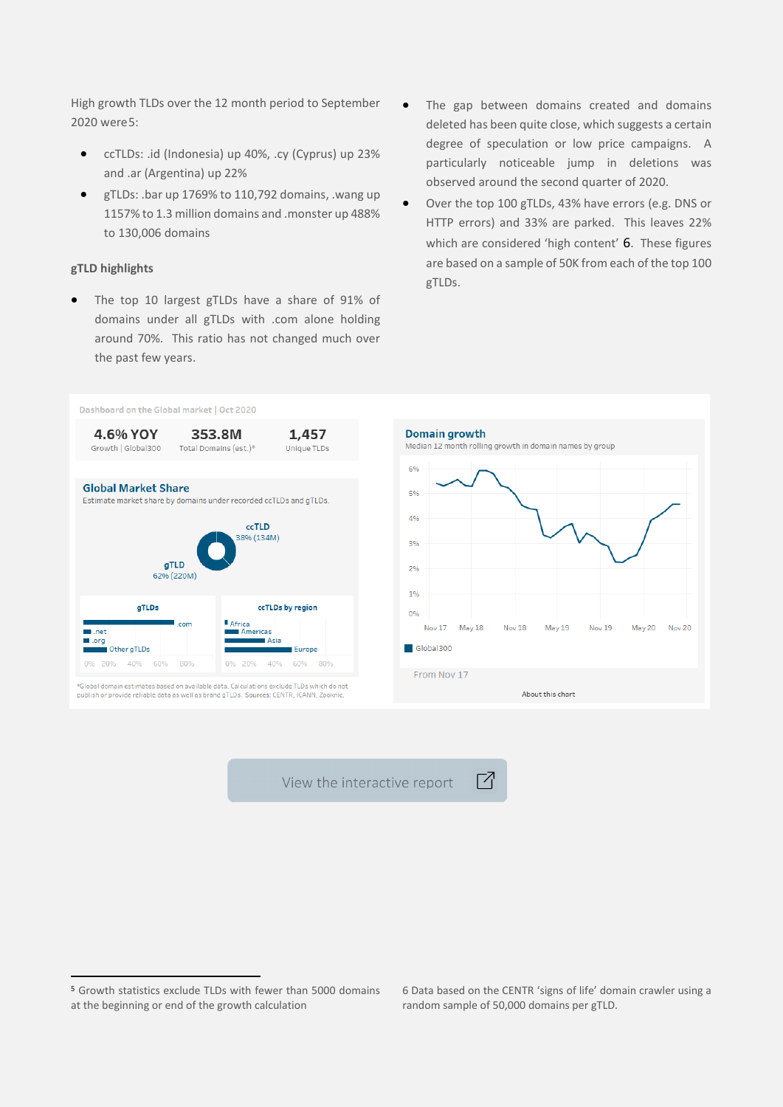High growth TLDs over the 12 month period to September 2020 were[5:](#page-3-0)

- ccTLDs: .id (Indonesia) up 40%, .cy (Cyprus) up 23% and .ar (Argentina) up 22%
- gTLDs: .bar up 1769% to 110,792 domains, .wang up 1157% to 1.3 million domains and .monster up 488% to 130,006 domains

# **gTLD highlights**

- The top 10 largest gTLDs have a share of 91% of domains under all gTLDs with .com alone holding around 70%. This ratio has not changed much over the past few years.
- The gap between domains created and domains deleted has been quite close, which suggests a certain degree of speculation or low price campaigns. A particularly noticeable jump in deletions was observed around the second quarter of 2020.
- Over the top 100 gTLDs, 43% have errors (e.g. DNS or HTTP errors) and 33% are parked. This leaves 22% which are considered 'high content' [6](#page-3-0). These figures are based on a sample of 50K from each of the top 100 gTLDs.



View the interactive report

Г7

<span id="page-3-0"></span><sup>5</sup> Growth statistics exclude TLDs with fewer than 5000 domains at the beginning or end of the growth calculation